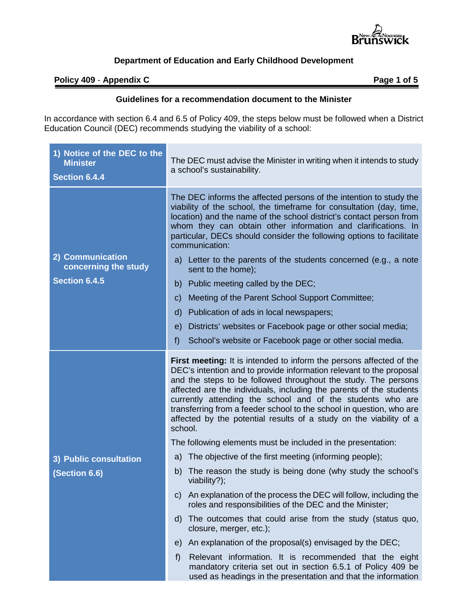

### **Policy** 409 - Appendix C **Page 1** of 5

÷.

#### **Guidelines for a recommendation document to the Minister**

In accordance with section 6.4 and 6.5 of Policy 409, the steps below must be followed when a District Education Council (DEC) recommends studying the viability of a school:

| 1) Notice of the DEC to the<br><b>Minister</b><br><b>Section 6.4.4</b> | The DEC must advise the Minister in writing when it intends to study<br>a school's sustainability.                                                                                                                                                                                                                                                                                                                                                                                                                                                                                                                                                                                                                                                                         |
|------------------------------------------------------------------------|----------------------------------------------------------------------------------------------------------------------------------------------------------------------------------------------------------------------------------------------------------------------------------------------------------------------------------------------------------------------------------------------------------------------------------------------------------------------------------------------------------------------------------------------------------------------------------------------------------------------------------------------------------------------------------------------------------------------------------------------------------------------------|
| 2) Communication<br>concerning the study<br><b>Section 6.4.5</b>       | The DEC informs the affected persons of the intention to study the<br>viability of the school, the timeframe for consultation (day, time,<br>location) and the name of the school district's contact person from<br>whom they can obtain other information and clarifications. In<br>particular, DECs should consider the following options to facilitate<br>communication:<br>a) Letter to the parents of the students concerned (e.g., a note<br>sent to the home);<br>Public meeting called by the DEC;<br>b)<br>Meeting of the Parent School Support Committee;<br>$\mathsf{C}$<br>Publication of ads in local newspapers;<br>d)<br>Districts' websites or Facebook page or other social media;<br>e)<br>School's website or Facebook page or other social media.<br>f |
|                                                                        | <b>First meeting:</b> It is intended to inform the persons affected of the<br>DEC's intention and to provide information relevant to the proposal<br>and the steps to be followed throughout the study. The persons<br>affected are the individuals, including the parents of the students<br>currently attending the school and of the students who are<br>transferring from a feeder school to the school in question, who are<br>affected by the potential results of a study on the viability of a<br>school.                                                                                                                                                                                                                                                          |
|                                                                        | The following elements must be included in the presentation:<br>The objective of the first meeting (informing people);<br>a)                                                                                                                                                                                                                                                                                                                                                                                                                                                                                                                                                                                                                                               |
| 3) Public consultation<br>(Section 6.6)                                | The reason the study is being done (why study the school's<br>b)<br>viability?);                                                                                                                                                                                                                                                                                                                                                                                                                                                                                                                                                                                                                                                                                           |
|                                                                        | c) An explanation of the process the DEC will follow, including the<br>roles and responsibilities of the DEC and the Minister;                                                                                                                                                                                                                                                                                                                                                                                                                                                                                                                                                                                                                                             |
|                                                                        | The outcomes that could arise from the study (status quo,<br>d)<br>closure, merger, etc.);                                                                                                                                                                                                                                                                                                                                                                                                                                                                                                                                                                                                                                                                                 |
|                                                                        | An explanation of the proposal(s) envisaged by the DEC;<br>e)                                                                                                                                                                                                                                                                                                                                                                                                                                                                                                                                                                                                                                                                                                              |
|                                                                        | Relevant information. It is recommended that the eight<br>f)<br>mandatory criteria set out in section 6.5.1 of Policy 409 be<br>used as headings in the presentation and that the information                                                                                                                                                                                                                                                                                                                                                                                                                                                                                                                                                                              |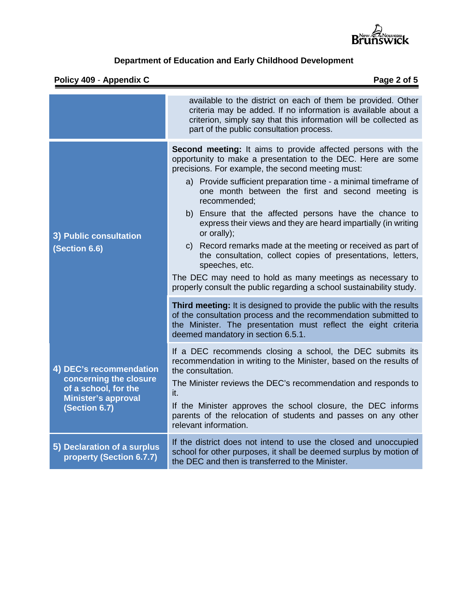

## **Policy 409** - **Appendix C Page 2 of 5**

|                                                                                                                          | available to the district on each of them be provided. Other<br>criteria may be added. If no information is available about a<br>criterion, simply say that this information will be collected as<br>part of the public consultation process.                                                                                                                                                                                                                                                                                                                                                                                                                                                                                                              |
|--------------------------------------------------------------------------------------------------------------------------|------------------------------------------------------------------------------------------------------------------------------------------------------------------------------------------------------------------------------------------------------------------------------------------------------------------------------------------------------------------------------------------------------------------------------------------------------------------------------------------------------------------------------------------------------------------------------------------------------------------------------------------------------------------------------------------------------------------------------------------------------------|
| 3) Public consultation<br>(Section 6.6)                                                                                  | Second meeting: It aims to provide affected persons with the<br>opportunity to make a presentation to the DEC. Here are some<br>precisions. For example, the second meeting must:<br>a) Provide sufficient preparation time - a minimal timeframe of<br>one month between the first and second meeting is<br>recommended;<br>b) Ensure that the affected persons have the chance to<br>express their views and they are heard impartially (in writing<br>or orally);<br>c) Record remarks made at the meeting or received as part of<br>the consultation, collect copies of presentations, letters,<br>speeches, etc.<br>The DEC may need to hold as many meetings as necessary to<br>properly consult the public regarding a school sustainability study. |
|                                                                                                                          | Third meeting: It is designed to provide the public with the results<br>of the consultation process and the recommendation submitted to<br>the Minister. The presentation must reflect the eight criteria<br>deemed mandatory in section 6.5.1.                                                                                                                                                                                                                                                                                                                                                                                                                                                                                                            |
| 4) DEC's recommendation<br>concerning the closure<br>of a school, for the<br><b>Minister's approval</b><br>(Section 6.7) | If a DEC recommends closing a school, the DEC submits its<br>recommendation in writing to the Minister, based on the results of<br>the consultation.<br>The Minister reviews the DEC's recommendation and responds to<br>it.<br>If the Minister approves the school closure, the DEC informs<br>parents of the relocation of students and passes on any other<br>relevant information.                                                                                                                                                                                                                                                                                                                                                                     |
| 5) Declaration of a surplus<br>property (Section 6.7.7)                                                                  | If the district does not intend to use the closed and unoccupied<br>school for other purposes, it shall be deemed surplus by motion of<br>the DEC and then is transferred to the Minister.                                                                                                                                                                                                                                                                                                                                                                                                                                                                                                                                                                 |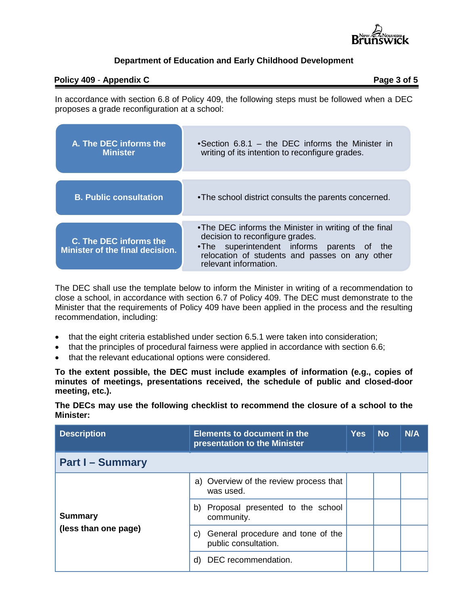

#### **Policy** 409 **- Appendix C** Page 3 of 5

In accordance with section 6.8 of Policy 409, the following steps must be followed when a DEC proposes a grade reconfiguration at a school:

| A. The DEC informs the<br><b>Minister</b>                        | • Section 6.8.1 – the DEC informs the Minister in<br>writing of its intention to reconfigure grades.                                                                                                                 |  |  |
|------------------------------------------------------------------|----------------------------------------------------------------------------------------------------------------------------------------------------------------------------------------------------------------------|--|--|
| <b>B. Public consultation</b>                                    | • The school district consults the parents concerned.                                                                                                                                                                |  |  |
|                                                                  |                                                                                                                                                                                                                      |  |  |
| <b>C. The DEC informs the</b><br>Minister of the final decision. | •The DEC informs the Minister in writing of the final<br>decision to reconfigure grades.<br>.The superintendent informs parents of<br>the<br>relocation of students and passes on any other<br>relevant information. |  |  |

The DEC shall use the template below to inform the Minister in writing of a recommendation to close a school, in accordance with section 6.7 of Policy 409. The DEC must demonstrate to the Minister that the requirements of Policy 409 have been applied in the process and the resulting recommendation, including:

- that the eight criteria established under section 6.5.1 were taken into consideration;
- that the principles of procedural fairness were applied in accordance with section 6.6;
- that the relevant educational options were considered.

**To the extent possible, the DEC must include examples of information (e.g., copies of minutes of meetings, presentations received, the schedule of public and closed-door meeting, etc.).**

**The DECs may use the following checklist to recommend the closure of a school to the Minister:**

| <b>Description</b>                     | <b>Elements to document in the</b><br>presentation to the Minister | <b>Yes</b> | <b>No</b> | N/A |
|----------------------------------------|--------------------------------------------------------------------|------------|-----------|-----|
| <b>Part I - Summary</b>                |                                                                    |            |           |     |
| <b>Summary</b><br>(less than one page) | a) Overview of the review process that<br>was used.                |            |           |     |
|                                        | Proposal presented to the school<br>b)<br>community.               |            |           |     |
|                                        | General procedure and tone of the<br>C)<br>public consultation.    |            |           |     |
|                                        | DEC recommendation.<br>d)                                          |            |           |     |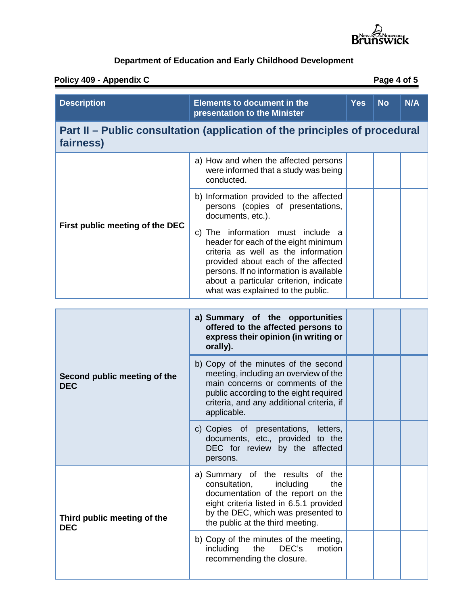

## **Policy 409** - **Appendix C Page 4 of 5**

| <b>Description</b>                                                                      | <b>Elements to document in the</b><br>presentation to the Minister                                                                                                                                                                                                                | <b>Yes</b> | <b>No</b> | <b>N/A</b> |  |
|-----------------------------------------------------------------------------------------|-----------------------------------------------------------------------------------------------------------------------------------------------------------------------------------------------------------------------------------------------------------------------------------|------------|-----------|------------|--|
| Part II – Public consultation (application of the principles of procedural<br>fairness) |                                                                                                                                                                                                                                                                                   |            |           |            |  |
| First public meeting of the DEC                                                         | a) How and when the affected persons<br>were informed that a study was being<br>conducted.                                                                                                                                                                                        |            |           |            |  |
|                                                                                         | b) Information provided to the affected<br>persons (copies of presentations,<br>documents, etc.).                                                                                                                                                                                 |            |           |            |  |
|                                                                                         | c) The information must include a<br>header for each of the eight minimum<br>criteria as well as the information<br>provided about each of the affected<br>persons. If no information is available<br>about a particular criterion, indicate<br>what was explained to the public. |            |           |            |  |
| a) Summary of the opportunities                                                         |                                                                                                                                                                                                                                                                                   |            |           |            |  |
| Second public meeting of the<br><b>DEC</b>                                              | offered to the affected persons to<br>express their opinion (in writing or<br>orally).                                                                                                                                                                                            |            |           |            |  |
|                                                                                         | b) Copy of the minutes of the second<br>meeting, including an overview of the<br>main concerns or comments of the<br>public according to the eight required<br>criteria, and any additional criteria, if<br>applicable.                                                           |            |           |            |  |
|                                                                                         | c) Copies of presentations,<br>letters,<br>documents, etc., provided to the<br>DEC for review by the affected<br>persons.                                                                                                                                                         |            |           |            |  |
| Third public meeting of the<br><b>DEC</b>                                               | a) Summary of the results of the<br>consultation,<br>the<br>including<br>documentation of the report on the<br>eight criteria listed in 6.5.1 provided<br>by the DEC, which was presented to<br>the public at the third meeting.                                                  |            |           |            |  |
|                                                                                         | b) Copy of the minutes of the meeting,<br>including<br>the<br>DEC's<br>motion<br>recommending the closure.                                                                                                                                                                        |            |           |            |  |